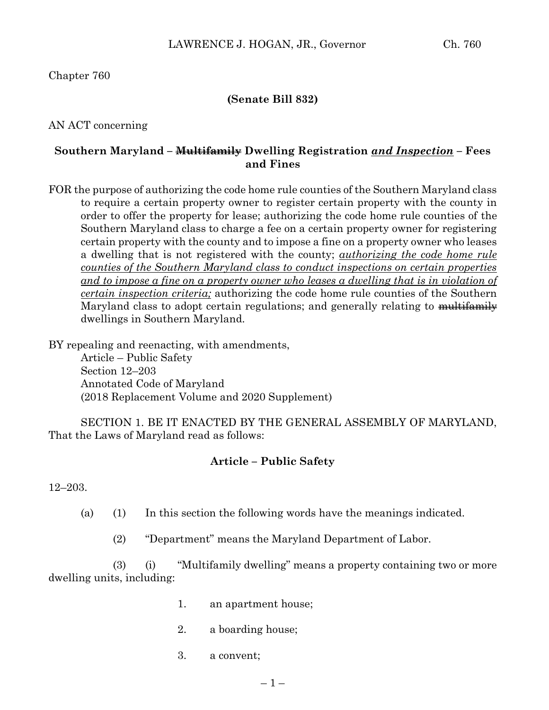Chapter 760

### **(Senate Bill 832)**

AN ACT concerning

### **Southern Maryland – Multifamily Dwelling Registration** *and Inspection* **– Fees and Fines**

FOR the purpose of authorizing the code home rule counties of the Southern Maryland class to require a certain property owner to register certain property with the county in order to offer the property for lease; authorizing the code home rule counties of the Southern Maryland class to charge a fee on a certain property owner for registering certain property with the county and to impose a fine on a property owner who leases a dwelling that is not registered with the county; *authorizing the code home rule counties of the Southern Maryland class to conduct inspections on certain properties*  and to impose a fine on a property owner who leases a dwelling that is in violation of *certain inspection criteria;* authorizing the code home rule counties of the Southern Maryland class to adopt certain regulations; and generally relating to multifamily dwellings in Southern Maryland.

BY repealing and reenacting, with amendments,

Article – Public Safety Section 12–203 Annotated Code of Maryland (2018 Replacement Volume and 2020 Supplement)

SECTION 1. BE IT ENACTED BY THE GENERAL ASSEMBLY OF MARYLAND, That the Laws of Maryland read as follows:

#### **Article – Public Safety**

12–203.

- (a) (1) In this section the following words have the meanings indicated.
	- (2) "Department" means the Maryland Department of Labor.

(3) (i) "Multifamily dwelling" means a property containing two or more dwelling units, including:

- 1. an apartment house;
- 2. a boarding house;
- 3. a convent;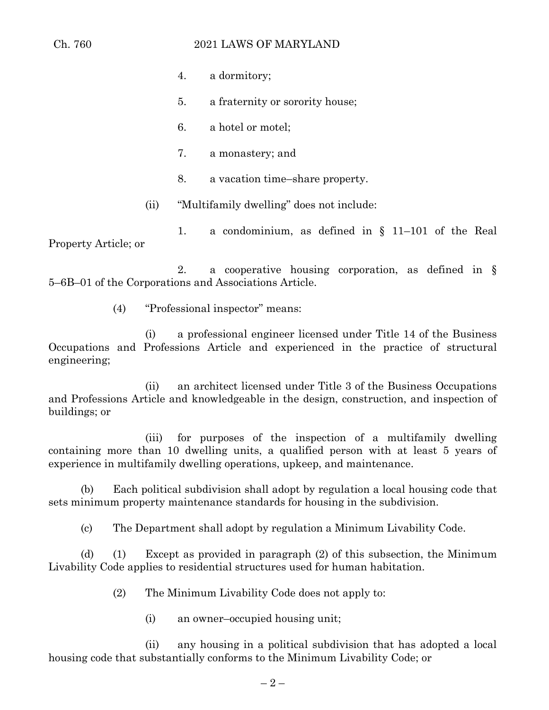### Ch. 760 2021 LAWS OF MARYLAND

- 4. a dormitory;
- 5. a fraternity or sorority house;
- 6. a hotel or motel;
- 7. a monastery; and
- 8. a vacation time–share property.
- (ii) "Multifamily dwelling" does not include:

1. a condominium, as defined in § 11–101 of the Real Property Article; or

2. a cooperative housing corporation, as defined in § 5–6B–01 of the Corporations and Associations Article.

(4) "Professional inspector" means:

(i) a professional engineer licensed under Title 14 of the Business Occupations and Professions Article and experienced in the practice of structural engineering;

(ii) an architect licensed under Title 3 of the Business Occupations and Professions Article and knowledgeable in the design, construction, and inspection of buildings; or

(iii) for purposes of the inspection of a multifamily dwelling containing more than 10 dwelling units, a qualified person with at least 5 years of experience in multifamily dwelling operations, upkeep, and maintenance.

(b) Each political subdivision shall adopt by regulation a local housing code that sets minimum property maintenance standards for housing in the subdivision.

(c) The Department shall adopt by regulation a Minimum Livability Code.

(d) (1) Except as provided in paragraph (2) of this subsection, the Minimum Livability Code applies to residential structures used for human habitation.

- (2) The Minimum Livability Code does not apply to:
	- (i) an owner–occupied housing unit;

(ii) any housing in a political subdivision that has adopted a local housing code that substantially conforms to the Minimum Livability Code; or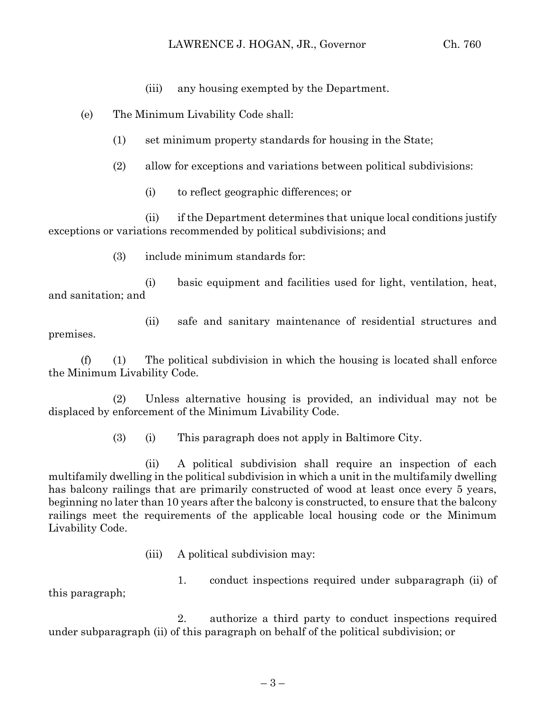- (iii) any housing exempted by the Department.
- (e) The Minimum Livability Code shall:
	- (1) set minimum property standards for housing in the State;
	- (2) allow for exceptions and variations between political subdivisions:
		- (i) to reflect geographic differences; or

(ii) if the Department determines that unique local conditions justify exceptions or variations recommended by political subdivisions; and

(3) include minimum standards for:

(i) basic equipment and facilities used for light, ventilation, heat, and sanitation; and

(ii) safe and sanitary maintenance of residential structures and premises.

(f) (1) The political subdivision in which the housing is located shall enforce the Minimum Livability Code.

(2) Unless alternative housing is provided, an individual may not be displaced by enforcement of the Minimum Livability Code.

(3) (i) This paragraph does not apply in Baltimore City.

(ii) A political subdivision shall require an inspection of each multifamily dwelling in the political subdivision in which a unit in the multifamily dwelling has balcony railings that are primarily constructed of wood at least once every 5 years, beginning no later than 10 years after the balcony is constructed, to ensure that the balcony railings meet the requirements of the applicable local housing code or the Minimum Livability Code.

(iii) A political subdivision may:

1. conduct inspections required under subparagraph (ii) of this paragraph;

2. authorize a third party to conduct inspections required under subparagraph (ii) of this paragraph on behalf of the political subdivision; or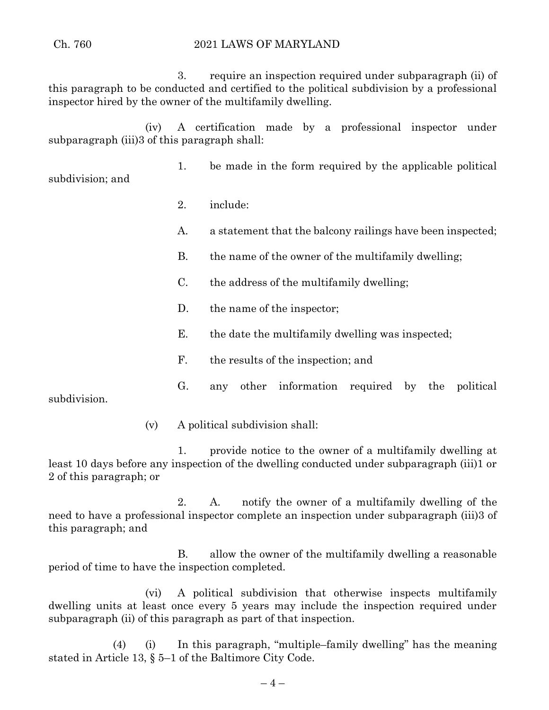#### Ch. 760 2021 LAWS OF MARYLAND

3. require an inspection required under subparagraph (ii) of this paragraph to be conducted and certified to the political subdivision by a professional inspector hired by the owner of the multifamily dwelling.

(iv) A certification made by a professional inspector under subparagraph (iii)3 of this paragraph shall:

1. be made in the form required by the applicable political subdivision; and

- 2. include:
- A. a statement that the balcony railings have been inspected;
- B. the name of the owner of the multifamily dwelling;
- C. the address of the multifamily dwelling;
- D. the name of the inspector;
- E. the date the multifamily dwelling was inspected;
- F. the results of the inspection; and

G. any other information required by the political subdivision.

(v) A political subdivision shall:

1. provide notice to the owner of a multifamily dwelling at least 10 days before any inspection of the dwelling conducted under subparagraph (iii)1 or 2 of this paragraph; or

2. A. notify the owner of a multifamily dwelling of the need to have a professional inspector complete an inspection under subparagraph (iii)3 of this paragraph; and

B. allow the owner of the multifamily dwelling a reasonable period of time to have the inspection completed.

(vi) A political subdivision that otherwise inspects multifamily dwelling units at least once every 5 years may include the inspection required under subparagraph (ii) of this paragraph as part of that inspection.

(4) (i) In this paragraph, "multiple–family dwelling" has the meaning stated in Article 13, § 5–1 of the Baltimore City Code.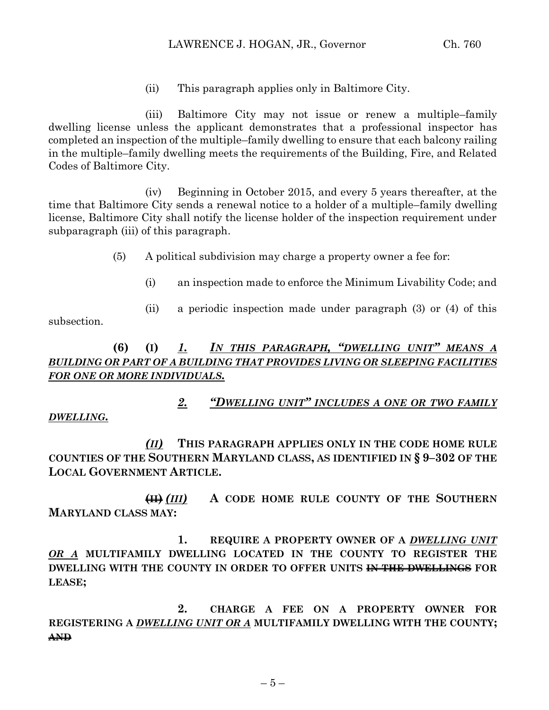(ii) This paragraph applies only in Baltimore City.

(iii) Baltimore City may not issue or renew a multiple–family dwelling license unless the applicant demonstrates that a professional inspector has completed an inspection of the multiple–family dwelling to ensure that each balcony railing in the multiple–family dwelling meets the requirements of the Building, Fire, and Related Codes of Baltimore City.

(iv) Beginning in October 2015, and every 5 years thereafter, at the time that Baltimore City sends a renewal notice to a holder of a multiple–family dwelling license, Baltimore City shall notify the license holder of the inspection requirement under subparagraph (iii) of this paragraph.

(5) A political subdivision may charge a property owner a fee for:

- (i) an inspection made to enforce the Minimum Livability Code; and
- (ii) a periodic inspection made under paragraph (3) or (4) of this

subsection.

# **(6) (I)** *1. IN THIS PARAGRAPH, "DWELLING UNIT" MEANS A BUILDING OR PART OF A BUILDING THAT PROVIDES LIVING OR SLEEPING FACILITIES FOR ONE OR MORE INDIVIDUALS.*

### *2. "DWELLING UNIT" INCLUDES A ONE OR TWO FAMILY DWELLING.*

*(II)* **THIS PARAGRAPH APPLIES ONLY IN THE CODE HOME RULE COUNTIES OF THE SOUTHERN MARYLAND CLASS, AS IDENTIFIED IN § 9–302 OF THE LOCAL GOVERNMENT ARTICLE.**

**(II)** *(III)* **A CODE HOME RULE COUNTY OF THE SOUTHERN MARYLAND CLASS MAY:**

**1. REQUIRE A PROPERTY OWNER OF A** *DWELLING UNIT OR A* **MULTIFAMILY DWELLING LOCATED IN THE COUNTY TO REGISTER THE DWELLING WITH THE COUNTY IN ORDER TO OFFER UNITS IN THE DWELLINGS FOR LEASE;**

**2. CHARGE A FEE ON A PROPERTY OWNER FOR REGISTERING A** *DWELLING UNIT OR A* **MULTIFAMILY DWELLING WITH THE COUNTY; AND**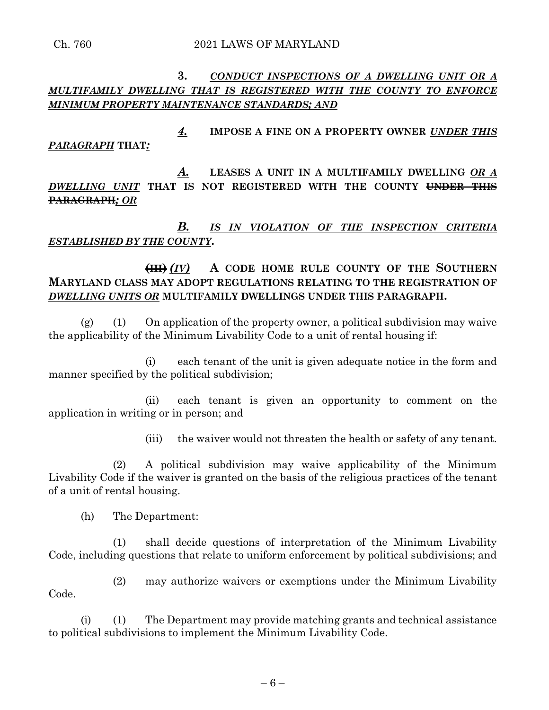### **3.** *CONDUCT INSPECTIONS OF A DWELLING UNIT OR A MULTIFAMILY DWELLING THAT IS REGISTERED WITH THE COUNTY TO ENFORCE MINIMUM PROPERTY MAINTENANCE STANDARDS; AND*

*4.* **IMPOSE A FINE ON A PROPERTY OWNER** *UNDER THIS PARAGRAPH* **THAT***:*

*A.* **LEASES A UNIT IN A MULTIFAMILY DWELLING** *OR A DWELLING UNIT* **THAT IS NOT REGISTERED WITH THE COUNTY UNDER THIS PARAGRAPH***; OR*

# *B. IS IN VIOLATION OF THE INSPECTION CRITERIA ESTABLISHED BY THE COUNTY***.**

# **(III)** *(IV)* **A CODE HOME RULE COUNTY OF THE SOUTHERN MARYLAND CLASS MAY ADOPT REGULATIONS RELATING TO THE REGISTRATION OF**  *DWELLING UNITS OR* **MULTIFAMILY DWELLINGS UNDER THIS PARAGRAPH.**

 $(g)$  (1) On application of the property owner, a political subdivision may waive the applicability of the Minimum Livability Code to a unit of rental housing if:

(i) each tenant of the unit is given adequate notice in the form and manner specified by the political subdivision;

(ii) each tenant is given an opportunity to comment on the application in writing or in person; and

(iii) the waiver would not threaten the health or safety of any tenant.

(2) A political subdivision may waive applicability of the Minimum Livability Code if the waiver is granted on the basis of the religious practices of the tenant of a unit of rental housing.

(h) The Department:

(1) shall decide questions of interpretation of the Minimum Livability Code, including questions that relate to uniform enforcement by political subdivisions; and

(2) may authorize waivers or exemptions under the Minimum Livability Code.

(i) (1) The Department may provide matching grants and technical assistance to political subdivisions to implement the Minimum Livability Code.